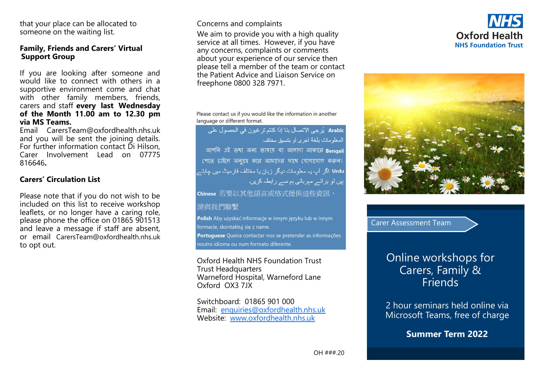that your place can be allocated to someone on the waiting list.

#### **Family, Friends and Carers' Virtual Support Group**

If you are looking after someone and would like to connect with others in a supportive environment come and chat with other family members, friends, carers and staff **every last Wednesday of the Month 11.00 am to 12.30 pm via MS Teams.**

Email CarersTeam@oxfordhealth.nhs.uk and you will be sent the joining details. For further information contact Di Hilson, Carer Involvement Lead on 07775 816646**.**

## **Carers' Circulation List**

Please note that if you do not wish to be included on this list to receive workshop leaflets, or no longer have a caring role, please phone the office on 01865 901513 and leave a message if staff are absent, or email CarersTeam@oxfordhealth.nhs.uk to opt out.

## Concerns and complaints

We aim to provide you with a high quality service at all times. However, if you have any concerns, complaints or comments about your experience of our service then please tell a member of the team or contact the Patient Advice and Liaison Service on freephone 0800 328 7971.

Please contact us if you would like the information in another language or different format.

Arabic يُرجى الاتصال بنا إذا كنتم ترغبون في الحصول على المعلومات بلغة أخرى أو بنتسبق مختلف আপনি এই তথ্য অন্য ভাষায় বা আলাদা আকারে Bengali পেতে চাইলে অনুগ্রহ করে আমাদের সাথে যোগাযোগ করুন। Urdu اگر آپ یہ معلومات دیگر زبان یا مختلف فارمیٹ میں چاہتے ہیں تو برائے مبربانی ہم سے رابطہ کریں۔ Chinese 若要以其他語言或格式提供這些資訊,

## 請與我們聯繫

**Polish** Aby uzyskać informacje w innym języku lub w innym formacie, skontaktuj się z name. Portuguese Queira contactar-nos se pretender as informações noutro idioma ou num formato diferente.

Oxford Health NHS Foundation Trust Trust Headquarters Warneford Hospital, Warneford Lane Oxford OX3 7JX

Switchboard: 01865 901 000 Email: enquiries@oxfordhealth.nhs.uk Website: www.oxfordhealth.nhs.uk





Carer Assessment Team

# Online workshops for Carers, Family & **Friends**

2 hour seminars held online via Microsoft Teams, free of charge

**Summer Term 2022**